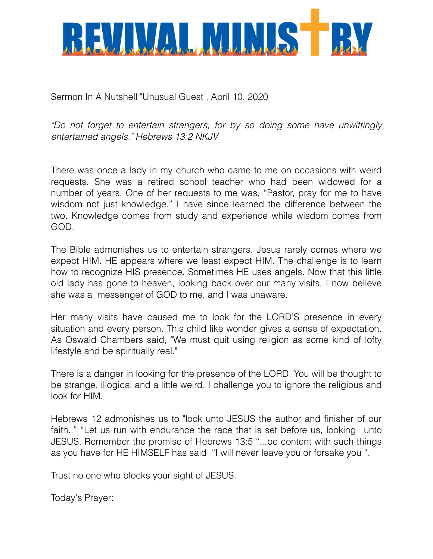

Sermon In A Nutshell "Unusual Guest", April 10, 2020

*"Do not forget to entertain strangers, for by so doing some have unwittingly entertained angels." Hebrews 13:2 NKJV*

There was once a lady in my church who came to me on occasions with weird requests. She was a retired school teacher who had been widowed for a number of years. One of her requests to me was, "Pastor, pray for me to have wisdom not just knowledge." I have since learned the difference between the two. Knowledge comes from study and experience while wisdom comes from GOD.

The Bible admonishes us to entertain strangers. Jesus rarely comes where we expect HIM. HE appears where we least expect HIM. The challenge is to learn how to recognize HIS presence. Sometimes HE uses angels. Now that this little old lady has gone to heaven, looking back over our many visits, I now believe she was a messenger of GOD to me, and I was unaware.

Her many visits have caused me to look for the LORD'S presence in every situation and every person. This child like wonder gives a sense of expectation. As Oswald Chambers said, "We must quit using religion as some kind of lofty lifestyle and be spiritually real."

There is a danger in looking for the presence of the LORD. You will be thought to be strange, illogical and a little weird. I challenge you to ignore the religious and look for HIM.

Hebrews 12 admonishes us to "look unto JESUS the author and finisher of our faith.." "Let us run with endurance the race that is set before us, looking unto JESUS. Remember the promise of Hebrews 13:5 "...be content with such things as you have for HE HIMSELF has said "I will never leave you or forsake you ".

Trust no one who blocks your sight of JESUS.

Today's Prayer: